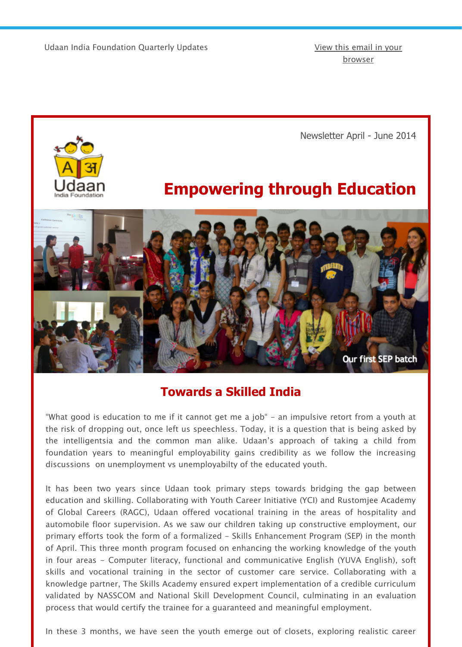

# **Empowering throu[gh Educatio](http://us3.campaign-archive1.com/?u=9fd176a6618bdff4025a74f70&id=2d2e5bfb27&e=%5BUNIQID%5D)**



# **Towards a Skilled India**

"What good is education to me if it cannot get me a job" - an impulsive retort from a youth the risk of dropping out, once left us speechless. Today, it is a question that is being asked the intelligentsia and the common man alike. Udaan's approach of taking a child from foundation years to meaningful employability gains credibility as we follow the increas discussions on unemployment vs unemployabilty of the educated youth.

It has been two years since Udaan took primary steps towards bridging the gap betwe education and skilling. Collaborating with Youth Career Initiative (YCI) and Rustomjee Acade of Global Careers (RAGC), Udaan offered vocational training in the areas of hospitality and automobile floor supervision. As we saw our children taking up constructive employment, our primary efforts took the form of a formalized – Skills Enhancement Program (SEP) in the mon of April. This three month program focused on enhancing the working knowledge of the youth in four areas - Computer literacy, functional and communicative English (YUVA English), s skills and vocational training in the sector of customer care service. Collaborating with knowledge partner, The Skills Academy ensured expert implementation of a credible curricul validated by NASSCOM and National Skill Development Council, culminating in an evaluat process that would certify the trainee for a guaranteed and meaningful employment.

In these 3 months, we have seen the youth emerge out of closets, exploring realistic care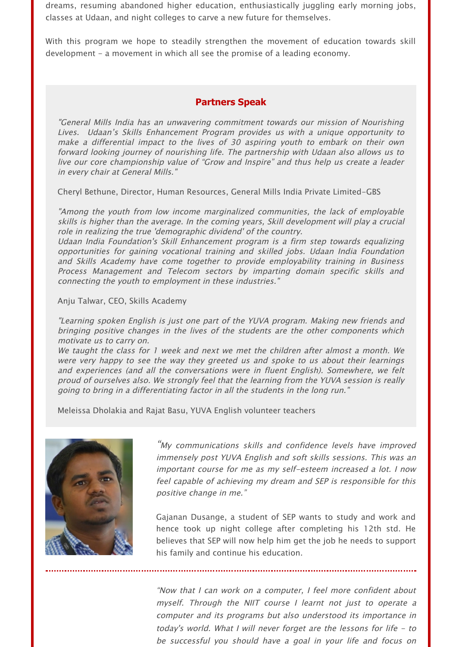dreams, resuming abandoned higher education, enthusiastically juggling early morning jobs, classes at Udaan, and night colleges to carve a new future for themselves.

With this program we hope to steadily strengthen the movement of education towards skill development - a movement in which all see the promise of a leading economy.

### **Partners Speak**

"General Mills India has an unwavering commitment towards our mission of Nourishing Lives. Udaan's Skills Enhancement Program provides us with a unique opportunity to make a differential impact to the lives of 30 aspiring youth to embark on their own forward looking journey of nourishing life. The partnership with Udaan also allows us to live our core championship value of "Grow and Inspire" and thus help us create a leader in every chair at General Mills."

Cheryl Bethune, Director, Human Resources, General Mills India Private Limited-GBS

"Among the youth from low income marginalized communities, the lack of employable skills is higher than the average. In the coming years, Skill development will play a crucial role in realizing the true 'demographic dividend' of the country.

Udaan India Foundation's Skill Enhancement program is a firm step towards equalizing opportunities for gaining vocational training and skilled jobs. Udaan India Foundation and Skills Academy have come together to provide employability training in Business Process Management and Telecom sectors by imparting domain specific skills and connecting the youth to employment in these industries."

Anju Talwar, CEO, Skills Academy

"Learning spoken English is just one part of the YUVA program. Making new friends and bringing positive changes in the lives of the students are the other components which motivate us to carry on.

We taught the class for 1 week and next we met the children after almost a month. We were very happy to see the way they greeted us and spoke to us about their learnings and experiences (and all the conversations were in fluent English). Somewhere, we felt proud of ourselves also. We strongly feel that the learning from the YUVA session is really going to bring in a differentiating factor in all the students in the long run."

Meleissa Dholakia and Rajat Basu, YUVA English volunteer teachers



"My communications skills and confidence levels have improved immensely post YUVA English and soft skills sessions. This was an important course for me as my self-esteem increased a lot. I now feel capable of achieving my dream and SEP is responsible for this positive change in me."

Gajanan Dusange, a student of SEP wants to study and work and hence took up night college after completing his 12th std. He believes that SEP will now help him get the job he needs to support his family and continue his education.

"Now that I can work on a computer, I feel more confident about myself. Through the NIIT course I learnt not just to operate a computer and its programs but also understood its importance in today's world. What I will never forget are the lessons for life - to be successful you should have a goal in your life and focus on